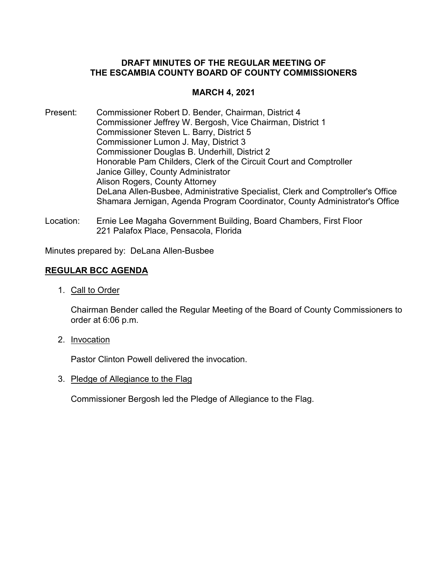## **DRAFT MINUTES OF THE REGULAR MEETING OF THE ESCAMBIA COUNTY BOARD OF COUNTY COMMISSIONERS**

# **MARCH 4, 2021**

- Present: Commissioner Robert D. Bender, Chairman, District 4 Commissioner Jeffrey W. Bergosh, Vice Chairman, District 1 Commissioner Steven L. Barry, District 5 Commissioner Lumon J. May, District 3 Commissioner Douglas B. Underhill, District 2 Honorable Pam Childers, Clerk of the Circuit Court and Comptroller Janice Gilley, County Administrator Alison Rogers, County Attorney DeLana Allen-Busbee, Administrative Specialist, Clerk and Comptroller's Office Shamara Jernigan, Agenda Program Coordinator, County Administrator's Office
- Location: Ernie Lee Magaha Government Building, Board Chambers, First Floor 221 Palafox Place, Pensacola, Florida

Minutes prepared by: DeLana Allen-Busbee

## **REGULAR BCC AGENDA**

1. Call to Order

Chairman Bender called the Regular Meeting of the Board of County Commissioners to order at 6:06 p.m.

2. Invocation

Pastor Clinton Powell delivered the invocation.

3. Pledge of Allegiance to the Flag

Commissioner Bergosh led the Pledge of Allegiance to the Flag.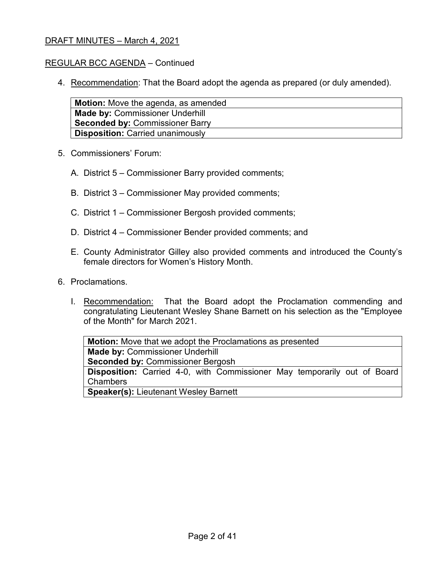### REGULAR BCC AGENDA – Continued

4. Recommendation: That the Board adopt the agenda as prepared (or duly amended).

| <b>Motion:</b> Move the agenda, as amended |
|--------------------------------------------|
| <b>Made by: Commissioner Underhill</b>     |
| <b>Seconded by: Commissioner Barry</b>     |
| <b>Disposition: Carried unanimously</b>    |

- 5. Commissioners' Forum:
	- A. District 5 Commissioner Barry provided comments;
	- B. District 3 Commissioner May provided comments;
	- C. District 1 Commissioner Bergosh provided comments;
	- D. District 4 Commissioner Bender provided comments; and
	- E. County Administrator Gilley also provided comments and introduced the County's female directors for Women's History Month.
- 6. Proclamations.
	- I. Recommendation: That the Board adopt the Proclamation commending and congratulating Lieutenant Wesley Shane Barnett on his selection as the "Employee of the Month" for March 2021.

**Motion:** Move that we adopt the Proclamations as presented **Made by:** Commissioner Underhill **Seconded by:** Commissioner Bergosh **Disposition:** Carried 4-0, with Commissioner May temporarily out of Board Chambers **Speaker(s):** Lieutenant Wesley Barnett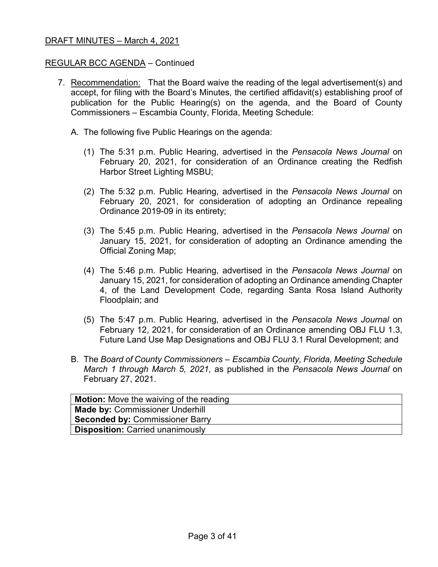### REGULAR BCC AGENDA – Continued

- 7. Recommendation: That the Board waive the reading of the legal advertisement(s) and accept, for filing with the Board's Minutes, the certified affidavit(s) establishing proof of publication for the Public Hearing(s) on the agenda, and the Board of County Commissioners – Escambia County, Florida, Meeting Schedule:
	- A. The following five Public Hearings on the agenda:
		- (1) The 5:31 p.m. Public Hearing, advertised in the *Pensacola News Journal* on February 20, 2021, for consideration of an Ordinance creating the Redfish Harbor Street Lighting MSBU;
		- (2) The 5:32 p.m. Public Hearing, advertised in the *Pensacola News Journal* on February 20, 2021, for consideration of adopting an Ordinance repealing Ordinance 2019-09 in its entirety;
		- (3) The 5:45 p.m. Public Hearing, advertised in the *Pensacola News Journal* on January 15, 2021, for consideration of adopting an Ordinance amending the Official Zoning Map;
		- (4) The 5:46 p.m. Public Hearing, advertised in the *Pensacola News Journal* on January 15, 2021, for consideration of adopting an Ordinance amending Chapter 4, of the Land Development Code, regarding Santa Rosa Island Authority Floodplain; and
		- (5) The 5:47 p.m. Public Hearing, advertised in the *Pensacola News Journal* on February 12, 2021, for consideration of an Ordinance amending OBJ FLU 1.3, Future Land Use Map Designations and OBJ FLU 3.1 Rural Development; and
	- B. The *Board of County Commissioners – Escambia County, Florida, Meeting Schedule March 1 through March 5, 2021,* as published in the *Pensacola News Journal* on February 27, 2021.

| <b>Motion:</b> Move the waiving of the reading |
|------------------------------------------------|
| <b>Made by: Commissioner Underhill</b>         |
| <b>Seconded by: Commissioner Barry</b>         |
| <b>Disposition: Carried unanimously</b>        |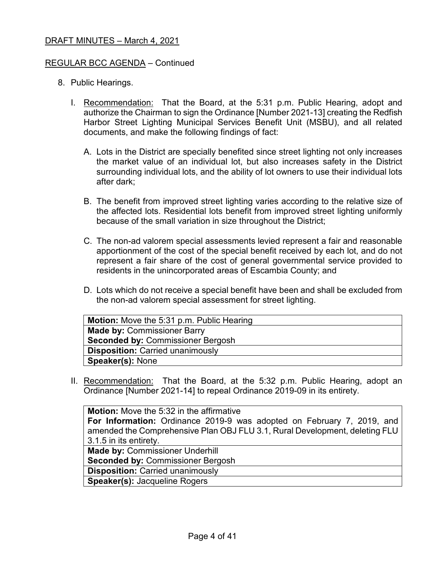### REGULAR BCC AGENDA – Continued

- 8. Public Hearings.
	- I. Recommendation: That the Board, at the 5:31 p.m. Public Hearing, adopt and authorize the Chairman to sign the Ordinance [Number 2021-13] creating the Redfish Harbor Street Lighting Municipal Services Benefit Unit (MSBU), and all related documents, and make the following findings of fact:
		- A. Lots in the District are specially benefited since street lighting not only increases the market value of an individual lot, but also increases safety in the District surrounding individual lots, and the ability of lot owners to use their individual lots after dark;
		- B. The benefit from improved street lighting varies according to the relative size of the affected lots. Residential lots benefit from improved street lighting uniformly because of the small variation in size throughout the District;
		- C. The non-ad valorem special assessments levied represent a fair and reasonable apportionment of the cost of the special benefit received by each lot, and do not represent a fair share of the cost of general governmental service provided to residents in the unincorporated areas of Escambia County; and
		- D. Lots which do not receive a special benefit have been and shall be excluded from the non-ad valorem special assessment for street lighting.

| Motion: Move the 5:31 p.m. Public Hearing |
|-------------------------------------------|
| <b>Made by: Commissioner Barry</b>        |
| <b>Seconded by: Commissioner Bergosh</b>  |
| <b>Disposition: Carried unanimously</b>   |
| <b>Speaker(s): None</b>                   |

II. Recommendation: That the Board, at the 5:32 p.m. Public Hearing, adopt an Ordinance [Number 2021-14] to repeal Ordinance 2019-09 in its entirety.

| <b>Motion:</b> Move the 5:32 in the affirmative                             |
|-----------------------------------------------------------------------------|
| For Information: Ordinance 2019-9 was adopted on February 7, 2019, and      |
| amended the Comprehensive Plan OBJ FLU 3.1, Rural Development, deleting FLU |
| 3.1.5 in its entirety.                                                      |
| <b>Made by: Commissioner Underhill</b>                                      |
| <b>Seconded by: Commissioner Bergosh</b>                                    |
| <b>Disposition: Carried unanimously</b>                                     |

**Speaker(s):** Jacqueline Rogers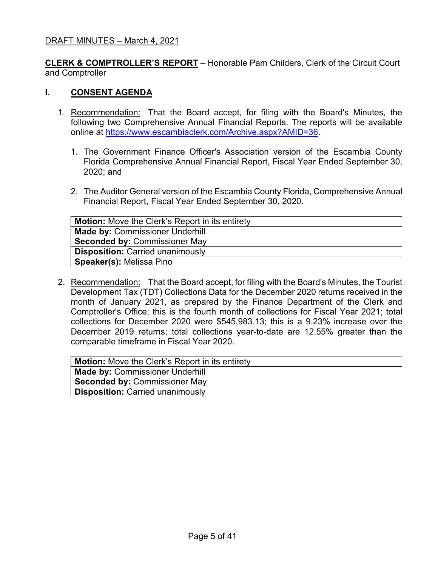**CLERK & COMPTROLLER'S REPORT** – Honorable Pam Childers, Clerk of the Circuit Court and Comptroller

### **I. CONSENT AGENDA**

- 1. Recommendation: That the Board accept, for filing with the Board's Minutes, the following two Comprehensive Annual Financial Reports. The reports will be available online at [https://www.escambiaclerk.com/Archive.aspx?AMID=36.](https://www.escambiaclerk.com/Archive.aspx?AMID=36)
	- 1. The Government Finance Officer's Association version of the Escambia County Florida Comprehensive Annual Financial Report, Fiscal Year Ended September 30, 2020; and
	- 2. The Auditor General version of the Escambia County Florida, Comprehensive Annual Financial Report, Fiscal Year Ended September 30, 2020.

| <b>Motion:</b> Move the Clerk's Report in its entirety |
|--------------------------------------------------------|
| <b>Made by: Commissioner Underhill</b>                 |
| <b>Seconded by: Commissioner May</b>                   |
| <b>Disposition: Carried unanimously</b>                |
| <b>Speaker(s): Melissa Pino</b>                        |

2. Recommendation: That the Board accept, for filing with the Board's Minutes, the Tourist Development Tax (TDT) Collections Data for the December 2020 returns received in the month of January 2021, as prepared by the Finance Department of the Clerk and Comptroller's Office; this is the fourth month of collections for Fiscal Year 2021; total collections for December 2020 were \$545,983.13; this is a 9.23% increase over the December 2019 returns; total collections year-to-date are 12.55% greater than the comparable timeframe in Fiscal Year 2020.

| <b>Made by: Commissioner Underhill</b>  |
|-----------------------------------------|
| <b>Seconded by: Commissioner May</b>    |
| <b>Disposition: Carried unanimously</b> |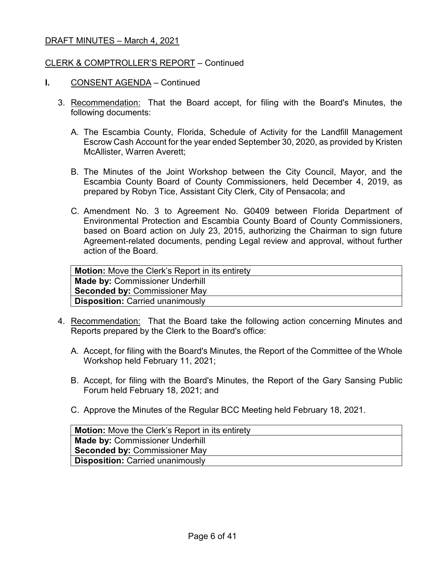### CLERK & COMPTROLLER'S REPORT – Continued

- **I.** CONSENT AGENDA Continued
	- 3. Recommendation: That the Board accept, for filing with the Board's Minutes, the following documents:
		- A. The Escambia County, Florida, Schedule of Activity for the Landfill Management Escrow Cash Account for the year ended September 30, 2020, as provided by Kristen McAllister, Warren Averett;
		- B. The Minutes of the Joint Workshop between the City Council, Mayor, and the Escambia County Board of County Commissioners, held December 4, 2019, as prepared by Robyn Tice, Assistant City Clerk, City of Pensacola; and
		- C. Amendment No. 3 to Agreement No. G0409 between Florida Department of Environmental Protection and Escambia County Board of County Commissioners, based on Board action on July 23, 2015, authorizing the Chairman to sign future Agreement-related documents, pending Legal review and approval, without further action of the Board.

| <b>Motion:</b> Move the Clerk's Report in its entirety |
|--------------------------------------------------------|
| <b>Made by: Commissioner Underhill</b>                 |
| <b>Seconded by: Commissioner May</b>                   |
| <b>Disposition: Carried unanimously</b>                |
|                                                        |

- 4. Recommendation: That the Board take the following action concerning Minutes and Reports prepared by the Clerk to the Board's office:
	- A. Accept, for filing with the Board's Minutes, the Report of the Committee of the Whole Workshop held February 11, 2021;
	- B. Accept, for filing with the Board's Minutes, the Report of the Gary Sansing Public Forum held February 18, 2021; and
	- C. Approve the Minutes of the Regular BCC Meeting held February 18, 2021.

| <b>Motion:</b> Move the Clerk's Report in its entirety |
|--------------------------------------------------------|
| Made by: Commissioner Underhill                        |
| <b>Seconded by: Commissioner May</b>                   |
| <b>Disposition: Carried unanimously</b>                |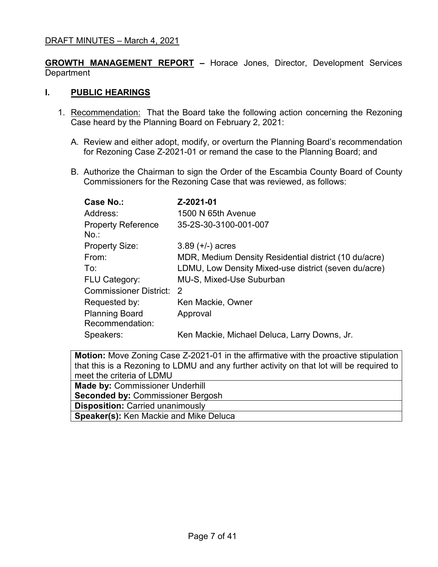**GROWTH MANAGEMENT REPORT –** Horace Jones, Director, Development Services **Department** 

### **I. PUBLIC HEARINGS**

- 1. Recommendation: That the Board take the following action concerning the Rezoning Case heard by the Planning Board on February 2, 2021:
	- A. Review and either adopt, modify, or overturn the Planning Board's recommendation for Rezoning Case Z-2021-01 or remand the case to the Planning Board; and
	- B. Authorize the Chairman to sign the Order of the Escambia County Board of County Commissioners for the Rezoning Case that was reviewed, as follows:

| Case No.:                                | Z-2021-01                                             |
|------------------------------------------|-------------------------------------------------------|
| Address:                                 | 1500 N 65th Avenue                                    |
| <b>Property Reference</b><br>$No.$ :     | 35-2S-30-3100-001-007                                 |
| <b>Property Size:</b>                    | $3.89 (+/-)$ acres                                    |
| From:                                    | MDR, Medium Density Residential district (10 du/acre) |
| To:                                      | LDMU, Low Density Mixed-use district (seven du/acre)  |
| <b>FLU Category:</b>                     | <b>MU-S, Mixed-Use Suburban</b>                       |
| Commissioner District:                   | 2                                                     |
| Requested by:                            | Ken Mackie, Owner                                     |
| <b>Planning Board</b><br>Recommendation: | Approval                                              |
| Speakers:                                | Ken Mackie, Michael Deluca, Larry Downs, Jr.          |

| <b>Motion:</b> Move Zoning Case Z-2021-01 in the affirmative with the proactive stipulation |  |  |
|---------------------------------------------------------------------------------------------|--|--|
| that this is a Rezoning to LDMU and any further activity on that lot will be required to    |  |  |
| meet the criteria of LDMU                                                                   |  |  |
| <b>Made by: Commissioner Underhill</b>                                                      |  |  |
| <b>Seconded by: Commissioner Bergosh</b>                                                    |  |  |
| <b>Disposition: Carried unanimously</b>                                                     |  |  |
| <b>Speaker(s): Ken Mackie and Mike Delucally</b>                                            |  |  |
|                                                                                             |  |  |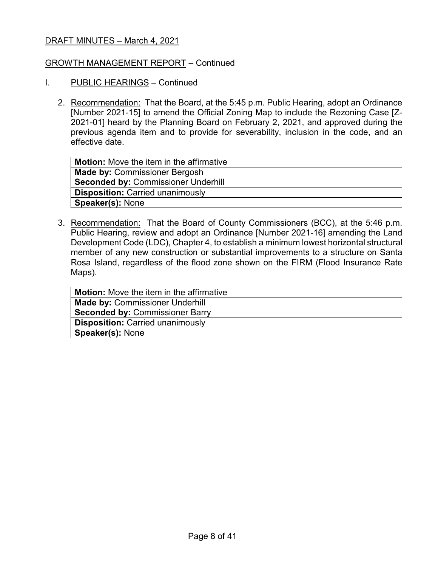### GROWTH MANAGEMENT REPORT – Continued

- I. PUBLIC HEARINGS Continued
	- 2. Recommendation: That the Board, at the 5:45 p.m. Public Hearing, adopt an Ordinance [Number 2021-15] to amend the Official Zoning Map to include the Rezoning Case [Z-2021-01] heard by the Planning Board on February 2, 2021, and approved during the previous agenda item and to provide for severability, inclusion in the code, and an effective date.

| <b>Motion:</b> Move the item in the affirmative |
|-------------------------------------------------|
| <b>Made by: Commissioner Bergosh</b>            |
| <b>Seconded by: Commissioner Underhill</b>      |
| <b>Disposition: Carried unanimously</b>         |
| <b>Speaker(s): None</b>                         |

3. Recommendation: That the Board of County Commissioners (BCC), at the 5:46 p.m. Public Hearing, review and adopt an Ordinance [Number 2021-16] amending the Land Development Code (LDC), Chapter 4, to establish a minimum lowest horizontal structural member of any new construction or substantial improvements to a structure on Santa Rosa Island, regardless of the flood zone shown on the FIRM (Flood Insurance Rate Maps).

| <b>Motion:</b> Move the item in the affirmative |
|-------------------------------------------------|
| <b>Made by: Commissioner Underhill</b>          |
| <b>Seconded by: Commissioner Barry</b>          |
| <b>Disposition: Carried unanimously</b>         |
| <b>Speaker(s): None</b>                         |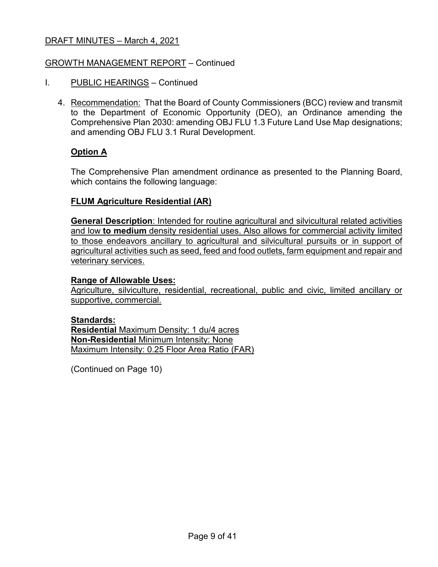### GROWTH MANAGEMENT REPORT – Continued

- I. PUBLIC HEARINGS Continued
	- 4. Recommendation: That the Board of County Commissioners (BCC) review and transmit to the Department of Economic Opportunity (DEO), an Ordinance amending the Comprehensive Plan 2030: amending OBJ FLU 1.3 Future Land Use Map designations; and amending OBJ FLU 3.1 Rural Development.

### **Option A**

The Comprehensive Plan amendment ordinance as presented to the Planning Board, which contains the following language:

### **FLUM Agriculture Residential (AR)**

**General Description**: Intended for routine agricultural and silvicultural related activities and low **to medium** density residential uses. Also allows for commercial activity limited to those endeavors ancillary to agricultural and silvicultural pursuits or in support of agricultural activities such as seed, feed and food outlets, farm equipment and repair and veterinary services.

### **Range of Allowable Uses:**

Agriculture, silviculture, residential, recreational, public and civic, limited ancillary or supportive, commercial.

#### **Standards:**

**Residential** Maximum Density: 1 du/4 acres **Non-Residential** Minimum Intensity: None Maximum Intensity: 0.25 Floor Area Ratio (FAR)

(Continued on Page 10)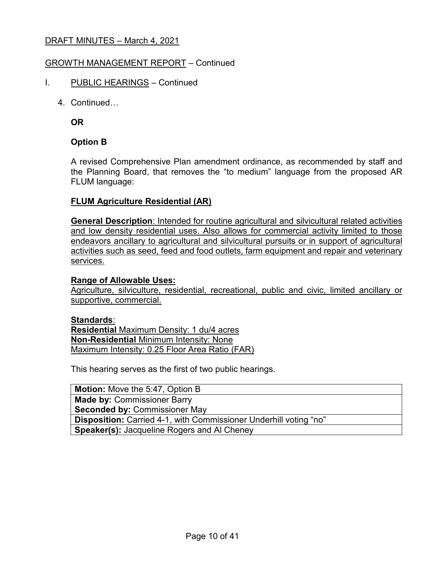### GROWTH MANAGEMENT REPORT – Continued

- I. PUBLIC HEARINGS Continued
	- 4. Continued…

**OR**

### **Option B**

A revised Comprehensive Plan amendment ordinance, as recommended by staff and the Planning Board, that removes the "to medium" language from the proposed AR FLUM language:

### **FLUM Agriculture Residential (AR)**

**General Description**: Intended for routine agricultural and silvicultural related activities and low density residential uses. Also allows for commercial activity limited to those endeavors ancillary to agricultural and silvicultural pursuits or in support of agricultural activities such as seed, feed and food outlets, farm equipment and repair and veterinary services.

### **Range of Allowable Uses:**

Agriculture, silviculture, residential, recreational, public and civic, limited ancillary or supportive, commercial.

#### **Standards**:

**Residential** Maximum Density: 1 du/4 acres **Non-Residential** Minimum Intensity: None Maximum Intensity: 0.25 Floor Area Ratio (FAR)

This hearing serves as the first of two public hearings.

**Motion:** Move the 5:47, Option B **Made by:** Commissioner Barry **Seconded by:** Commissioner May **Disposition:** Carried 4-1, with Commissioner Underhill voting "no" **Speaker(s):** Jacqueline Rogers and Al Cheney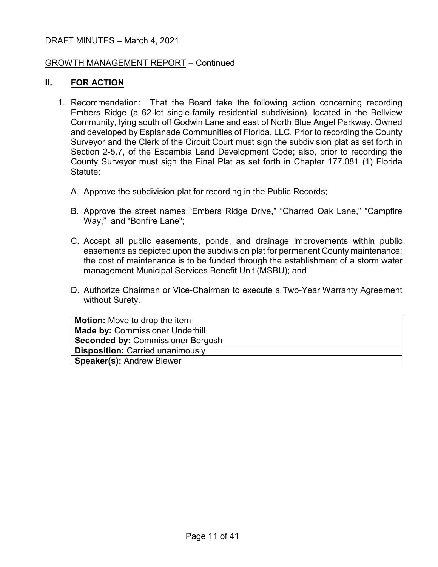### GROWTH MANAGEMENT REPORT – Continued

### **II. FOR ACTION**

- 1. Recommendation: That the Board take the following action concerning recording Embers Ridge (a 62-lot single-family residential subdivision), located in the Bellview Community, lying south off Godwin Lane and east of North Blue Angel Parkway. Owned and developed by Esplanade Communities of Florida, LLC. Prior to recording the County Surveyor and the Clerk of the Circuit Court must sign the subdivision plat as set forth in Section 2-5.7, of the Escambia Land Development Code; also, prior to recording the County Surveyor must sign the Final Plat as set forth in Chapter 177.081 (1) Florida Statute:
	- A. Approve the subdivision plat for recording in the Public Records;
	- B. Approve the street names "Embers Ridge Drive," "Charred Oak Lane," "Campfire Way," and "Bonfire Lane";
	- C. Accept all public easements, ponds, and drainage improvements within public easements as depicted upon the subdivision plat for permanent County maintenance; the cost of maintenance is to be funded through the establishment of a storm water management Municipal Services Benefit Unit (MSBU); and
	- D. Authorize Chairman or Vice-Chairman to execute a Two-Year Warranty Agreement without Surety.

| <b>Motion:</b> Move to drop the item     |
|------------------------------------------|
| <b>Made by: Commissioner Underhill</b>   |
| <b>Seconded by: Commissioner Bergosh</b> |
| <b>Disposition: Carried unanimously</b>  |
| <b>Speaker(s): Andrew Blewer</b>         |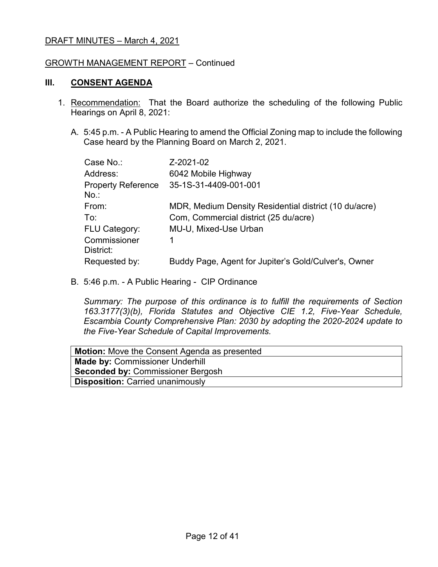### GROWTH MANAGEMENT REPORT – Continued

### **III. CONSENT AGENDA**

- 1. Recommendation: That the Board authorize the scheduling of the following Public Hearings on April 8, 2021:
	- A. 5:45 p.m. A Public Hearing to amend the Official Zoning map to include the following Case heard by the Planning Board on March 2, 2021.

| Case No.:                            | Z-2021-02                                             |
|--------------------------------------|-------------------------------------------------------|
| Address:                             | 6042 Mobile Highway                                   |
| <b>Property Reference</b><br>$No.$ : | 35-1S-31-4409-001-001                                 |
| From:                                | MDR, Medium Density Residential district (10 du/acre) |
| To:                                  | Com, Commercial district (25 du/acre)                 |
| <b>FLU Category:</b>                 | MU-U, Mixed-Use Urban                                 |
| Commissioner<br>District:            |                                                       |
| Requested by:                        | Buddy Page, Agent for Jupiter's Gold/Culver's, Owner  |

B. 5:46 p.m. - A Public Hearing - CIP Ordinance

*Summary: The purpose of this ordinance is to fulfill the requirements of Section 163.3177(3)(b), Florida Statutes and Objective CIE 1.2, Five-Year Schedule, Escambia County Comprehensive Plan: 2030 by adopting the 2020-2024 update to the Five-Year Schedule of Capital Improvements.*

| <b>Motion:</b> Move the Consent Agenda as presented |
|-----------------------------------------------------|
| <b>Made by: Commissioner Underhill</b>              |
| <b>Seconded by: Commissioner Bergosh</b>            |
| <b>Disposition: Carried unanimously</b>             |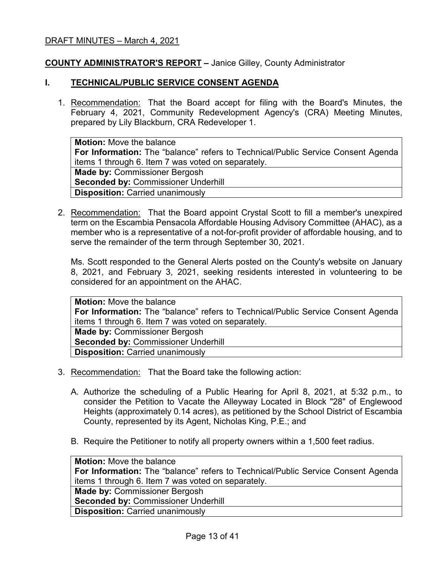### **COUNTY ADMINISTRATOR'S REPORT –** Janice Gilley, County Administrator

#### **I. TECHNICAL/PUBLIC SERVICE CONSENT AGENDA**

1. Recommendation: That the Board accept for filing with the Board's Minutes, the February 4, 2021, Community Redevelopment Agency's (CRA) Meeting Minutes, prepared by Lily Blackburn, CRA Redeveloper 1.

**Motion:** Move the balance **For Information:** The "balance" refers to Technical/Public Service Consent Agenda items 1 through 6. Item 7 was voted on separately. **Made by:** Commissioner Bergosh **Seconded by: Commissioner Underhill Disposition:** Carried unanimously

2. Recommendation: That the Board appoint Crystal Scott to fill a member's unexpired term on the Escambia Pensacola Affordable Housing Advisory Committee (AHAC), as a member who is a representative of a not-for-profit provider of affordable housing, and to serve the remainder of the term through September 30, 2021.

Ms. Scott responded to the General Alerts posted on the County's website on January 8, 2021, and February 3, 2021, seeking residents interested in volunteering to be considered for an appointment on the AHAC.

**Motion:** Move the balance **For Information:** The "balance" refers to Technical/Public Service Consent Agenda items 1 through 6. Item 7 was voted on separately. **Made by:** Commissioner Bergosh **Seconded by: Commissioner Underhill Disposition:** Carried unanimously

- 3. Recommendation: That the Board take the following action:
	- A. Authorize the scheduling of a Public Hearing for April 8, 2021, at 5:32 p.m., to consider the Petition to Vacate the Alleyway Located in Block "28" of Englewood Heights (approximately 0.14 acres), as petitioned by the School District of Escambia County, represented by its Agent, Nicholas King, P.E.; and
	- B. Require the Petitioner to notify all property owners within a 1,500 feet radius.

**Motion:** Move the balance **For Information:** The "balance" refers to Technical/Public Service Consent Agenda items 1 through 6. Item 7 was voted on separately. **Made by:** Commissioner Bergosh **Seconded by:** Commissioner Underhill **Disposition:** Carried unanimously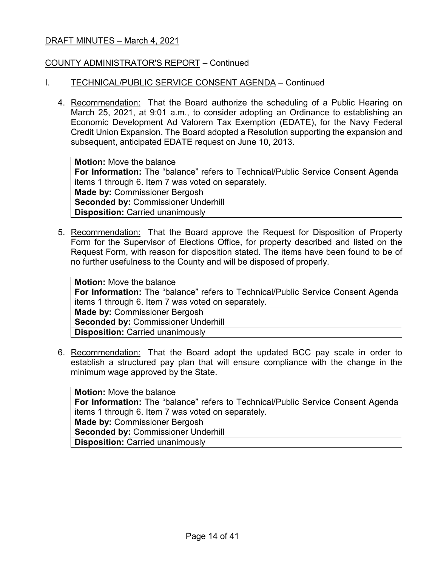### COUNTY ADMINISTRATOR'S REPORT – Continued

### I. TECHNICAL/PUBLIC SERVICE CONSENT AGENDA – Continued

4. Recommendation: That the Board authorize the scheduling of a Public Hearing on March 25, 2021, at 9:01 a.m., to consider adopting an Ordinance to establishing an Economic Development Ad Valorem Tax Exemption (EDATE), for the Navy Federal Credit Union Expansion. The Board adopted a Resolution supporting the expansion and subsequent, anticipated EDATE request on June 10, 2013.

**Motion:** Move the balance **For Information:** The "balance" refers to Technical/Public Service Consent Agenda items 1 through 6. Item 7 was voted on separately. **Made by:** Commissioner Bergosh **Seconded by:** Commissioner Underhill **Disposition:** Carried unanimously

5. Recommendation: That the Board approve the Request for Disposition of Property Form for the Supervisor of Elections Office, for property described and listed on the Request Form, with reason for disposition stated. The items have been found to be of no further usefulness to the County and will be disposed of properly.

**Motion:** Move the balance **For Information:** The "balance" refers to Technical/Public Service Consent Agenda items 1 through 6. Item 7 was voted on separately. **Made by:** Commissioner Bergosh **Seconded by:** Commissioner Underhill **Disposition:** Carried unanimously

6. Recommendation: That the Board adopt the updated BCC pay scale in order to establish a structured pay plan that will ensure compliance with the change in the minimum wage approved by the State.

**Motion:** Move the balance **For Information:** The "balance" refers to Technical/Public Service Consent Agenda items 1 through 6. Item 7 was voted on separately. **Made by:** Commissioner Bergosh **Seconded by:** Commissioner Underhill **Disposition:** Carried unanimously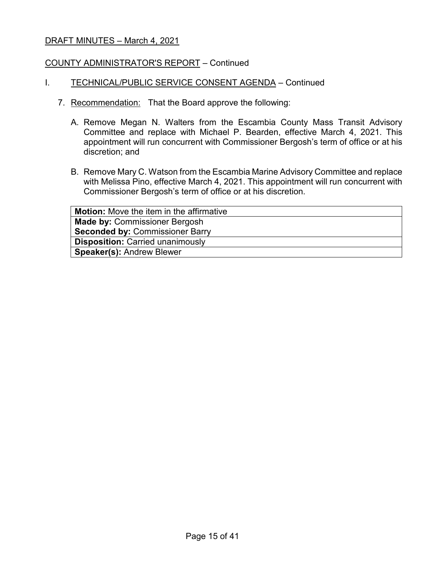### COUNTY ADMINISTRATOR'S REPORT – Continued

### I. TECHNICAL/PUBLIC SERVICE CONSENT AGENDA - Continued

- 7. Recommendation: That the Board approve the following:
	- A. Remove Megan N. Walters from the Escambia County Mass Transit Advisory Committee and replace with Michael P. Bearden, effective March 4, 2021. This appointment will run concurrent with Commissioner Bergosh's term of office or at his discretion; and
	- B. Remove Mary C. Watson from the Escambia Marine Advisory Committee and replace with Melissa Pino, effective March 4, 2021. This appointment will run concurrent with Commissioner Bergosh's term of office or at his discretion.

| <b>Motion:</b> Move the item in the affirmative |
|-------------------------------------------------|
| <b>Made by: Commissioner Bergosh</b>            |
| <b>Seconded by: Commissioner Barry</b>          |
| <b>Disposition: Carried unanimously</b>         |
| <b>Speaker(s): Andrew Blewer</b>                |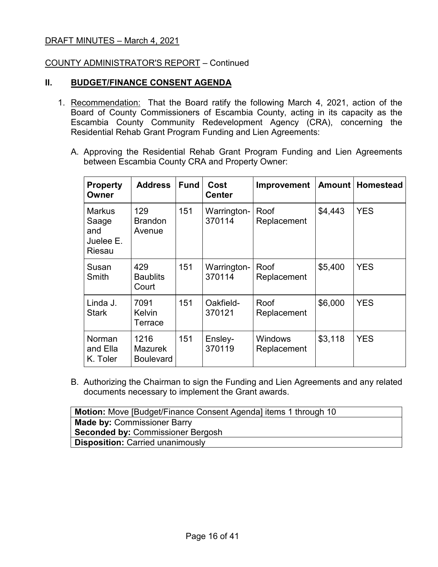### COUNTY ADMINISTRATOR'S REPORT – Continued

### **II. BUDGET/FINANCE CONSENT AGENDA**

- 1. Recommendation: That the Board ratify the following March 4, 2021, action of the Board of County Commissioners of Escambia County, acting in its capacity as the Escambia County Community Redevelopment Agency (CRA), concerning the Residential Rehab Grant Program Funding and Lien Agreements:
	- A. Approving the Residential Rehab Grant Program Funding and Lien Agreements between Escambia County CRA and Property Owner:

| <b>Property</b><br>Owner                             | <b>Address</b>                             | <b>Fund</b> | Cost<br><b>Center</b> | <b>Improvement</b>            | Amount  | <b>Homestead</b> |
|------------------------------------------------------|--------------------------------------------|-------------|-----------------------|-------------------------------|---------|------------------|
| <b>Markus</b><br>Saage<br>and<br>Juelee E.<br>Riesau | 129<br><b>Brandon</b><br>Avenue            | 151         | Warrington-<br>370114 | Roof<br>Replacement           | \$4,443 | <b>YES</b>       |
| Susan<br>Smith                                       | 429<br><b>Baublits</b><br>Court            | 151         | Warrington-<br>370114 | Roof<br>Replacement           | \$5,400 | <b>YES</b>       |
| Linda J.<br><b>Stark</b>                             | 7091<br><b>Kelvin</b><br>Terrace           | 151         | Oakfield-<br>370121   | Roof<br>Replacement           | \$6,000 | <b>YES</b>       |
| Norman<br>and Ella<br>K. Toler                       | 1216<br><b>Mazurek</b><br><b>Boulevard</b> | 151         | Ensley-<br>370119     | <b>Windows</b><br>Replacement | \$3,118 | <b>YES</b>       |

B. Authorizing the Chairman to sign the Funding and Lien Agreements and any related documents necessary to implement the Grant awards.

| <b>Motion:</b> Move [Budget/Finance Consent Agenda] items 1 through 10 |
|------------------------------------------------------------------------|
| <b>Made by: Commissioner Barry</b>                                     |
| <b>Seconded by: Commissioner Bergosh</b>                               |
| <b>Disposition: Carried unanimously</b>                                |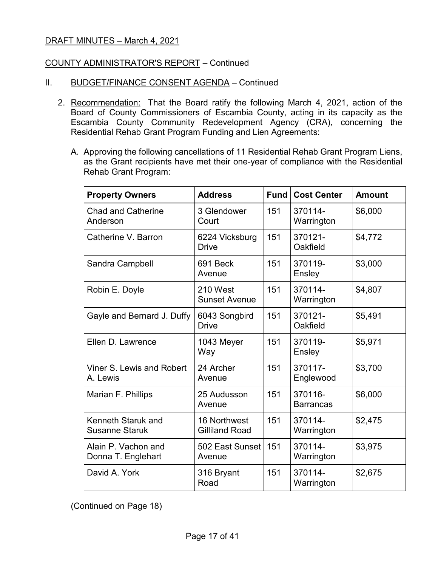### COUNTY ADMINISTRATOR'S REPORT – Continued

- II. BUDGET/FINANCE CONSENT AGENDA Continued
	- 2. Recommendation: That the Board ratify the following March 4, 2021, action of the Board of County Commissioners of Escambia County, acting in its capacity as the Escambia County Community Redevelopment Agency (CRA), concerning the Residential Rehab Grant Program Funding and Lien Agreements:
		- A. Approving the following cancellations of 11 Residential Rehab Grant Program Liens, as the Grant recipients have met their one-year of compliance with the Residential Rehab Grant Program:

| <b>Property Owners</b>                      | <b>Address</b>                        | Fund | <b>Cost Center</b>          | <b>Amount</b> |
|---------------------------------------------|---------------------------------------|------|-----------------------------|---------------|
| <b>Chad and Catherine</b><br>Anderson       | 3 Glendower<br>Court                  | 151  | 370114-<br>Warrington       | \$6,000       |
| Catherine V. Barron                         | 6224 Vicksburg<br><b>Drive</b>        | 151  | 370121-<br>Oakfield         | \$4,772       |
| Sandra Campbell                             | 691 Beck<br>Avenue                    | 151  | 370119-<br>Ensley           | \$3,000       |
| Robin E. Doyle                              | 210 West<br><b>Sunset Avenue</b>      | 151  | 370114-<br>Warrington       | \$4,807       |
| Gayle and Bernard J. Duffy                  | 6043 Songbird<br><b>Drive</b>         | 151  | 370121-<br>Oakfield         | \$5,491       |
| Ellen D. Lawrence                           | 1043 Meyer<br>Way                     | 151  | 370119-<br>Ensley           | \$5,971       |
| Viner S. Lewis and Robert<br>A. Lewis       | 24 Archer<br>Avenue                   | 151  | 370117-<br>Englewood        | \$3,700       |
| Marian F. Phillips                          | 25 Audusson<br>Avenue                 | 151  | 370116-<br><b>Barrancas</b> | \$6,000       |
| Kenneth Staruk and<br><b>Susanne Staruk</b> | 16 Northwest<br><b>Gilliland Road</b> | 151  | 370114-<br>Warrington       | \$2,475       |
| Alain P. Vachon and<br>Donna T. Englehart   | 502 East Sunset<br>Avenue             | 151  | 370114-<br>Warrington       | \$3,975       |
| David A. York                               | 316 Bryant<br>Road                    | 151  | 370114-<br>Warrington       | \$2,675       |

(Continued on Page 18)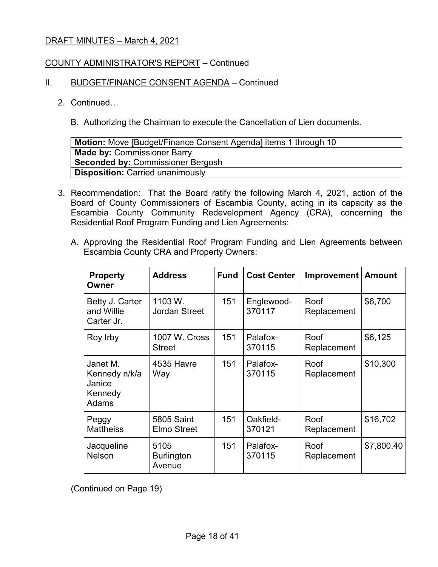### COUNTY ADMINISTRATOR'S REPORT – Continued

### II. BUDGET/FINANCE CONSENT AGENDA - Continued

### 2. Continued…

B. Authorizing the Chairman to execute the Cancellation of Lien documents.

| <b>Motion:</b> Move [Budget/Finance Consent Agenda] items 1 through 10 |
|------------------------------------------------------------------------|
| <b>Made by: Commissioner Barry</b>                                     |
| <b>Seconded by: Commissioner Bergosh</b>                               |
| <b>Disposition: Carried unanimously</b>                                |

- 3. Recommendation: That the Board ratify the following March 4, 2021, action of the Board of County Commissioners of Escambia County, acting in its capacity as the Escambia County Community Redevelopment Agency (CRA), concerning the Residential Roof Program Funding and Lien Agreements:
	- A. Approving the Residential Roof Program Funding and Lien Agreements between Escambia County CRA and Property Owners:

| <b>Property</b><br>Owner                                | <b>Address</b>                          | <b>Fund</b> | <b>Cost Center</b>   | <b>Improvement</b>  | <b>Amount</b> |
|---------------------------------------------------------|-----------------------------------------|-------------|----------------------|---------------------|---------------|
| Betty J. Carter<br>and Willie<br>Carter Jr.             | 1103 W.<br><b>Jordan Street</b>         | 151         | Englewood-<br>370117 | Roof<br>Replacement | \$6,700       |
| Roy Irby                                                | 1007 W. Cross<br><b>Street</b>          | 151         | Palafox-<br>370115   | Roof<br>Replacement | \$6,125       |
| Janet M.<br>Kennedy n/k/a<br>Janice<br>Kennedy<br>Adams | 4535 Havre<br>Way                       | 151         | Palafox-<br>370115   | Roof<br>Replacement | \$10,300      |
| Peggy<br><b>Mattheiss</b>                               | <b>5805 Saint</b><br><b>Elmo Street</b> | 151         | Oakfield-<br>370121  | Roof<br>Replacement | \$16,702      |
| Jacqueline<br><b>Nelson</b>                             | 5105<br><b>Burlington</b><br>Avenue     | 151         | Palafox-<br>370115   | Roof<br>Replacement | \$7,800.40    |

(Continued on Page 19)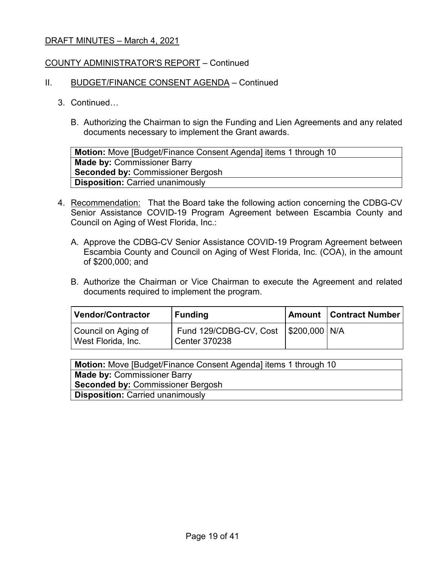### COUNTY ADMINISTRATOR'S REPORT – Continued

#### II. BUDGET/FINANCE CONSENT AGENDA – Continued

- 3. Continued…
	- B. Authorizing the Chairman to sign the Funding and Lien Agreements and any related documents necessary to implement the Grant awards.

**Motion:** Move [Budget/Finance Consent Agenda] items 1 through 10 **Made by:** Commissioner Barry **Seconded by:** Commissioner Bergosh **Disposition:** Carried unanimously

- 4. Recommendation: That the Board take the following action concerning the CDBG-CV Senior Assistance COVID-19 Program Agreement between Escambia County and Council on Aging of West Florida, Inc.:
	- A. Approve the CDBG-CV Senior Assistance COVID-19 Program Agreement between Escambia County and Council on Aging of West Florida, Inc. (COA), in the amount of \$200,000; and
	- B. Authorize the Chairman or Vice Chairman to execute the Agreement and related documents required to implement the program.

| Vendor/Contractor                         | <b>Funding</b>                                                   | <b>Amount   Contract Number</b> |
|-------------------------------------------|------------------------------------------------------------------|---------------------------------|
| Council on Aging of<br>West Florida, Inc. | Fund 129/CDBG-CV, Cost   \$200,000   N/A<br><b>Center 370238</b> |                                 |

| <b>Motion:</b> Move [Budget/Finance Consent Agenda] items 1 through 10 |
|------------------------------------------------------------------------|
| <b>Made by: Commissioner Barry</b>                                     |
| <b>Seconded by: Commissioner Bergosh</b>                               |
| <b>Disposition: Carried unanimously</b>                                |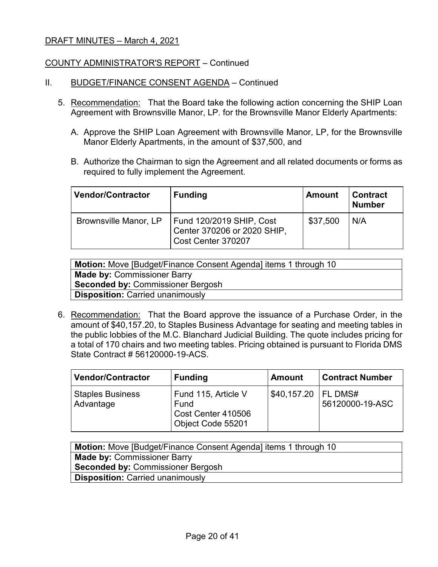### COUNTY ADMINISTRATOR'S REPORT – Continued

- II. BUDGET/FINANCE CONSENT AGENDA Continued
	- 5. Recommendation: That the Board take the following action concerning the SHIP Loan Agreement with Brownsville Manor, LP. for the Brownsville Manor Elderly Apartments:
		- A. Approve the SHIP Loan Agreement with Brownsville Manor, LP, for the Brownsville Manor Elderly Apartments, in the amount of \$37,500, and
		- B. Authorize the Chairman to sign the Agreement and all related documents or forms as required to fully implement the Agreement.

| <b>Vendor/Contractor</b> | <b>Funding</b>                                                                | <b>Amount</b> | <b>Contract</b><br><b>Number</b> |
|--------------------------|-------------------------------------------------------------------------------|---------------|----------------------------------|
| Brownsville Manor, LP    | Fund 120/2019 SHIP, Cost<br>Center 370206 or 2020 SHIP,<br>Cost Center 370207 | \$37,500      | N/A                              |

| <b>Motion:</b> Move [Budget/Finance Consent Agenda] items 1 through 10 |
|------------------------------------------------------------------------|
| <b>Made by: Commissioner Barry</b>                                     |
| <b>Seconded by: Commissioner Bergosh</b>                               |
| <b>Disposition: Carried unanimously</b>                                |

6. Recommendation: That the Board approve the issuance of a Purchase Order, in the amount of \$40,157.20, to Staples Business Advantage for seating and meeting tables in the public lobbies of the M.C. Blanchard Judicial Building. The quote includes pricing for a total of 170 chairs and two meeting tables. Pricing obtained is pursuant to Florida DMS State Contract # 56120000-19-ACS.

| <b>Vendor/Contractor</b>             | <b>Funding</b>                                                         | <b>Amount</b> | <b>Contract Number</b>       |
|--------------------------------------|------------------------------------------------------------------------|---------------|------------------------------|
| <b>Staples Business</b><br>Advantage | Fund 115, Article V<br>Fund<br>Cost Center 410506<br>Object Code 55201 | \$40,157.20   | I FL DMS#<br>56120000-19-ASC |

| <b>Motion:</b> Move [Budget/Finance Consent Agenda] items 1 through 10 |
|------------------------------------------------------------------------|
| <b>Made by: Commissioner Barry</b>                                     |
| <b>Seconded by: Commissioner Bergosh</b>                               |
| <b>Disposition: Carried unanimously</b>                                |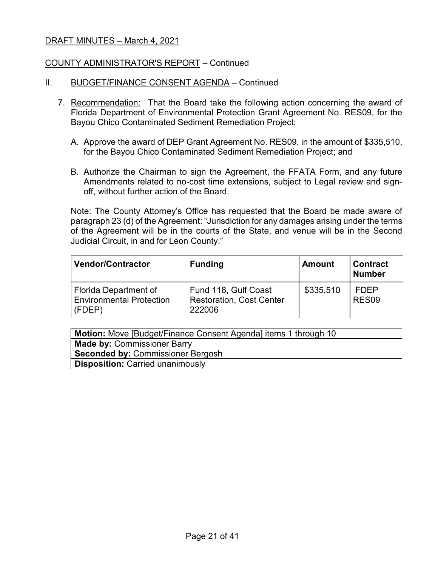### COUNTY ADMINISTRATOR'S REPORT – Continued

- II. BUDGET/FINANCE CONSENT AGENDA Continued
	- 7. Recommendation: That the Board take the following action concerning the award of Florida Department of Environmental Protection Grant Agreement No. RES09, for the Bayou Chico Contaminated Sediment Remediation Project:
		- A. Approve the award of DEP Grant Agreement No. RES09, in the amount of \$335,510, for the Bayou Chico Contaminated Sediment Remediation Project; and
		- B. Authorize the Chairman to sign the Agreement, the FFATA Form, and any future Amendments related to no-cost time extensions, subject to Legal review and signoff, without further action of the Board.

Note: The County Attorney's Office has requested that the Board be made aware of paragraph 23 (d) of the Agreement: "Jurisdiction for any damages arising under the terms of the Agreement will be in the courts of the State, and venue will be in the Second Judicial Circuit, in and for Leon County."

| <b>Vendor/Contractor</b>                                           | <b>Funding</b>                                                    | <b>Amount</b> | <b>Contract</b><br><b>Number</b> |
|--------------------------------------------------------------------|-------------------------------------------------------------------|---------------|----------------------------------|
| Florida Department of<br><b>Environmental Protection</b><br>(FDEP) | Fund 118, Gulf Coast<br><b>Restoration, Cost Center</b><br>222006 | \$335,510     | <b>FDEP</b><br>RES <sub>09</sub> |

| <b>Motion:</b> Move [Budget/Finance Consent Agenda] items 1 through 10 |
|------------------------------------------------------------------------|
| <b>Made by: Commissioner Barry</b>                                     |
| Seconded by: Commissioner Bergosh                                      |
| <b>Disposition: Carried unanimously</b>                                |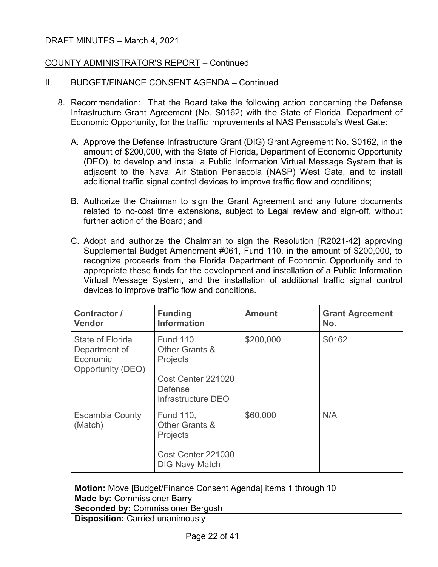### COUNTY ADMINISTRATOR'S REPORT – Continued

### II. BUDGET/FINANCE CONSENT AGENDA – Continued

- 8. Recommendation: That the Board take the following action concerning the Defense Infrastructure Grant Agreement (No. S0162) with the State of Florida, Department of Economic Opportunity, for the traffic improvements at NAS Pensacola's West Gate:
	- A. Approve the Defense Infrastructure Grant (DIG) Grant Agreement No. S0162, in the amount of \$200,000, with the State of Florida, Department of Economic Opportunity (DEO), to develop and install a Public Information Virtual Message System that is adjacent to the Naval Air Station Pensacola (NASP) West Gate, and to install additional traffic signal control devices to improve traffic flow and conditions;
	- B. Authorize the Chairman to sign the Grant Agreement and any future documents related to no-cost time extensions, subject to Legal review and sign-off, without further action of the Board; and
	- C. Adopt and authorize the Chairman to sign the Resolution [R2021-42] approving Supplemental Budget Amendment #061, Fund 110, in the amount of \$200,000, to recognize proceeds from the Florida Department of Economic Opportunity and to appropriate these funds for the development and installation of a Public Information Virtual Message System, and the installation of additional traffic signal control devices to improve traffic flow and conditions.

| Contractor /<br><b>Vendor</b>                                      | <b>Funding</b><br><b>Information</b>                                                                               | <b>Amount</b> | <b>Grant Agreement</b><br>No. |
|--------------------------------------------------------------------|--------------------------------------------------------------------------------------------------------------------|---------------|-------------------------------|
| State of Florida<br>Department of<br>Economic<br>Opportunity (DEO) | <b>Fund 110</b><br>Other Grants &<br><b>Projects</b><br>Cost Center 221020<br><b>Defense</b><br>Infrastructure DEO | \$200,000     | S0162                         |
| <b>Escambia County</b><br>(Match)                                  | <b>Fund 110,</b><br>Other Grants &<br><b>Projects</b><br>Cost Center 221030<br><b>DIG Navy Match</b>               | \$60,000      | N/A                           |

| <b>Motion:</b> Move [Budget/Finance Consent Agenda] items 1 through 10 |
|------------------------------------------------------------------------|
| <b>Made by: Commissioner Barry</b>                                     |
| <b>Seconded by: Commissioner Bergosh</b>                               |
| <b>Disposition: Carried unanimously</b>                                |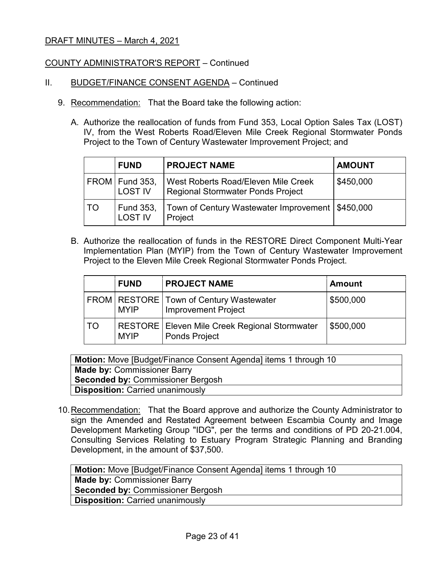### COUNTY ADMINISTRATOR'S REPORT – Continued

- II. BUDGET/FINANCE CONSENT AGENDA Continued
	- 9. Recommendation: That the Board take the following action:
		- A. Authorize the reallocation of funds from Fund 353, Local Option Sales Tax (LOST) IV, from the West Roberts Road/Eleven Mile Creek Regional Stormwater Ponds Project to the Town of Century Wastewater Improvement Project; and

|    | <b>FUND</b>                        | <b>PROJECT NAME</b>                                                      | <b>AMOUNT</b> |
|----|------------------------------------|--------------------------------------------------------------------------|---------------|
|    | FROM   Fund 353,<br><b>LOST IV</b> | West Roberts Road/Eleven Mile Creek<br>Regional Stormwater Ponds Project | \$450,000     |
| TO | Fund 353,<br><b>LOST IV</b>        | Town of Century Wastewater Improvement   \$450,000<br>Project            |               |

B. Authorize the reallocation of funds in the RESTORE Direct Component Multi-Year Implementation Plan (MYIP) from the Town of Century Wastewater Improvement Project to the Eleven Mile Creek Regional Stormwater Ponds Project.

|    | <b>FUND</b> | <b>PROJECT NAME</b>                                                       | <b>Amount</b> |
|----|-------------|---------------------------------------------------------------------------|---------------|
|    | <b>MYIP</b> | FROM   RESTORE   Town of Century Wastewater<br><b>Improvement Project</b> | \$500,000     |
| TO | <b>MYIP</b> | RESTORE   Eleven Mile Creek Regional Stormwater<br><b>Ponds Project</b>   | \$500,000     |

**Motion:** Move [Budget/Finance Consent Agenda] items 1 through 10 **Made by:** Commissioner Barry **Seconded by:** Commissioner Bergosh **Disposition:** Carried unanimously

10.Recommendation: That the Board approve and authorize the County Administrator to sign the Amended and Restated Agreement between Escambia County and Image Development Marketing Group "IDG", per the terms and conditions of PD 20-21.004, Consulting Services Relating to Estuary Program Strategic Planning and Branding Development, in the amount of \$37,500.

| <b>Motion:</b> Move [Budget/Finance Consent Agenda] items 1 through 10 |
|------------------------------------------------------------------------|
| <b>Made by: Commissioner Barry</b>                                     |
| <b>Seconded by: Commissioner Bergosh</b>                               |
| <b>Disposition: Carried unanimously</b>                                |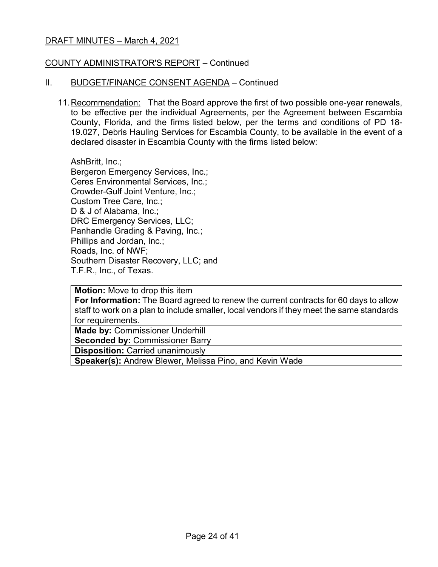### COUNTY ADMINISTRATOR'S REPORT – Continued

#### II. BUDGET/FINANCE CONSENT AGENDA – Continued

11.Recommendation: That the Board approve the first of two possible one-year renewals, to be effective per the individual Agreements, per the Agreement between Escambia County, Florida, and the firms listed below, per the terms and conditions of PD 18- 19.027, Debris Hauling Services for Escambia County, to be available in the event of a declared disaster in Escambia County with the firms listed below:

AshBritt, Inc.; Bergeron Emergency Services, Inc.; Ceres Environmental Services, Inc.; Crowder-Gulf Joint Venture, Inc.; Custom Tree Care, Inc.; D & J of Alabama, Inc.; DRC Emergency Services, LLC; Panhandle Grading & Paving, Inc.; Phillips and Jordan, Inc.; Roads, Inc. of NWF; Southern Disaster Recovery, LLC; and T.F.R., Inc., of Texas.

**Motion:** Move to drop this item **For Information:** The Board agreed to renew the current contracts for 60 days to allow staff to work on a plan to include smaller, local vendors if they meet the same standards for requirements.

**Made by:** Commissioner Underhill

**Seconded by:** Commissioner Barry

**Disposition:** Carried unanimously

**Speaker(s):** Andrew Blewer, Melissa Pino, and Kevin Wade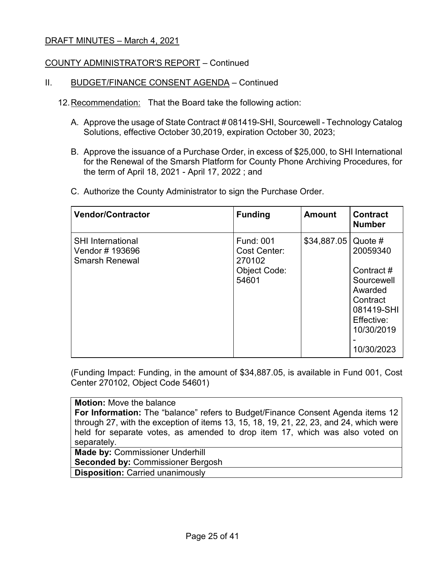### COUNTY ADMINISTRATOR'S REPORT – Continued

#### II. BUDGET/FINANCE CONSENT AGENDA – Continued

- 12.Recommendation: That the Board take the following action:
	- A. Approve the usage of State Contract # 081419-SHI, Sourcewell Technology Catalog Solutions, effective October 30,2019, expiration October 30, 2023;
	- B. Approve the issuance of a Purchase Order, in excess of \$25,000, to SHI International for the Renewal of the Smarsh Platform for County Phone Archiving Procedures, for the term of April 18, 2021 - April 17, 2022 ; and
	- C. Authorize the County Administrator to sign the Purchase Order.

| <b>Vendor/Contractor</b>                                             | <b>Funding</b>                                                             | <b>Amount</b> | <b>Contract</b><br><b>Number</b>                                                                                                |
|----------------------------------------------------------------------|----------------------------------------------------------------------------|---------------|---------------------------------------------------------------------------------------------------------------------------------|
| <b>SHI International</b><br>Vendor # 193696<br><b>Smarsh Renewal</b> | <b>Fund: 001</b><br>Cost Center:<br>270102<br><b>Object Code:</b><br>54601 | \$34,887.05   | Quote $#$<br>20059340<br>Contract#<br>Sourcewell<br>Awarded<br>Contract<br>081419-SHI<br>Effective:<br>10/30/2019<br>10/30/2023 |

(Funding Impact: Funding, in the amount of \$34,887.05, is available in Fund 001, Cost Center 270102, Object Code 54601)

**Motion:** Move the balance **For Information:** The "balance" refers to Budget/Finance Consent Agenda items 12 through 27, with the exception of items 13, 15, 18, 19, 21, 22, 23, and 24, which were held for separate votes, as amended to drop item 17, which was also voted on separately. **Made by:** Commissioner Underhill

**Seconded by:** Commissioner Bergosh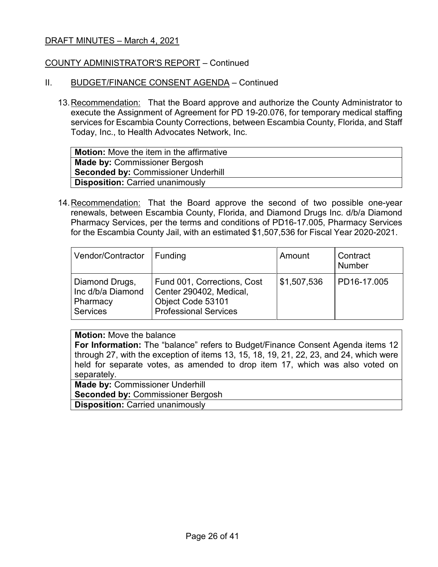### COUNTY ADMINISTRATOR'S REPORT – Continued

#### II. BUDGET/FINANCE CONSENT AGENDA – Continued

13.Recommendation: That the Board approve and authorize the County Administrator to execute the Assignment of Agreement for PD 19-20.076, for temporary medical staffing services for Escambia County Corrections, between Escambia County, Florida, and Staff Today, Inc., to Health Advocates Network, Inc.

| <b>Motion:</b> Move the item in the affirmative |
|-------------------------------------------------|
| <b>Made by: Commissioner Bergosh</b>            |
| <b>Seconded by: Commissioner Underhill</b>      |
| <b>Disposition: Carried unanimously</b>         |
|                                                 |

14.Recommendation: That the Board approve the second of two possible one-year renewals, between Escambia County, Florida, and Diamond Drugs Inc. d/b/a Diamond Pharmacy Services, per the terms and conditions of PD16-17.005, Pharmacy Services for the Escambia County Jail, with an estimated \$1,507,536 for Fiscal Year 2020-2021.

| Vendor/Contractor                                                  | Funding                                                                                                     | Amount      | Contract<br><b>Number</b> |
|--------------------------------------------------------------------|-------------------------------------------------------------------------------------------------------------|-------------|---------------------------|
| Diamond Drugs,<br>Inc d/b/a Diamond<br>Pharmacy<br><b>Services</b> | Fund 001, Corrections, Cost<br>Center 290402, Medical,<br>Object Code 53101<br><b>Professional Services</b> | \$1,507,536 | PD16-17.005               |

#### **Motion:** Move the balance

**For Information:** The "balance" refers to Budget/Finance Consent Agenda items 12 through 27, with the exception of items 13, 15, 18, 19, 21, 22, 23, and 24, which were held for separate votes, as amended to drop item 17, which was also voted on separately.

**Made by:** Commissioner Underhill **Seconded by:** Commissioner Bergosh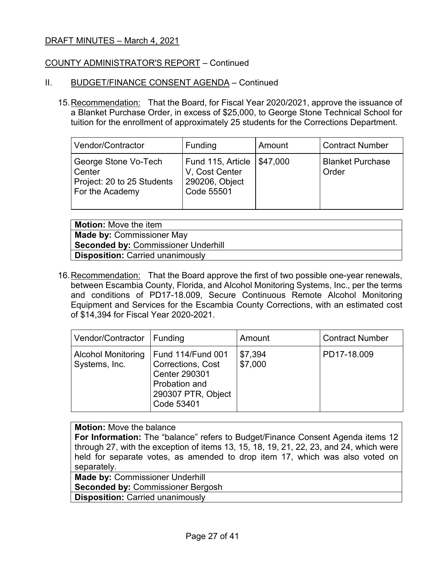### COUNTY ADMINISTRATOR'S REPORT – Continued

#### II. BUDGET/FINANCE CONSENT AGENDA – Continued

15.Recommendation: That the Board, for Fiscal Year 2020/2021, approve the issuance of a Blanket Purchase Order, in excess of \$25,000, to George Stone Technical School for tuition for the enrollment of approximately 25 students for the Corrections Department.

| Vendor/Contractor                                                               | Funding                                                             | Amount   | Contract Number                  |
|---------------------------------------------------------------------------------|---------------------------------------------------------------------|----------|----------------------------------|
| George Stone Vo-Tech<br>Center<br>Project: 20 to 25 Students<br>For the Academy | Fund 115, Article<br>V. Cost Center<br>290206, Object<br>Code 55501 | \$47,000 | <b>Blanket Purchase</b><br>Order |

**Motion:** Move the item **Made by:** Commissioner May **Seconded by:** Commissioner Underhill **Disposition:** Carried unanimously

16. Recommendation: That the Board approve the first of two possible one-year renewals, between Escambia County, Florida, and Alcohol Monitoring Systems, Inc., per the terms and conditions of PD17-18.009, Secure Continuous Remote Alcohol Monitoring Equipment and Services for the Escambia County Corrections, with an estimated cost of \$14,394 for Fiscal Year 2020-2021.

| Vendor/Contractor                          | Funding                                                                                                             | Amount             | <b>Contract Number</b> |
|--------------------------------------------|---------------------------------------------------------------------------------------------------------------------|--------------------|------------------------|
| <b>Alcohol Monitoring</b><br>Systems, Inc. | <b>Fund 114/Fund 001</b><br>Corrections, Cost<br>Center 290301<br>Probation and<br>290307 PTR, Object<br>Code 53401 | \$7,394<br>\$7,000 | PD17-18.009            |

### **Motion:** Move the balance

**For Information:** The "balance" refers to Budget/Finance Consent Agenda items 12 through 27, with the exception of items 13, 15, 18, 19, 21, 22, 23, and 24, which were held for separate votes, as amended to drop item 17, which was also voted on separately.

**Made by:** Commissioner Underhill

**Seconded by:** Commissioner Bergosh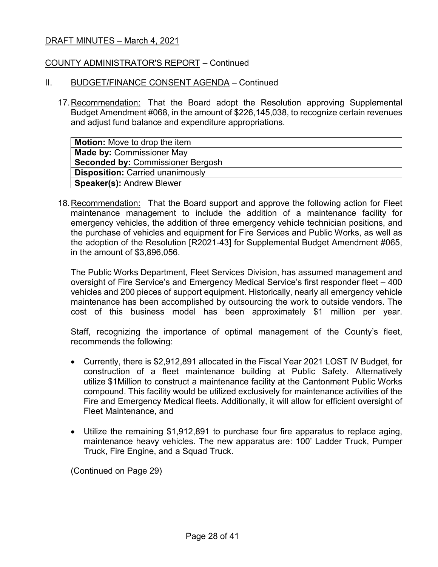### COUNTY ADMINISTRATOR'S REPORT – Continued

### II. BUDGET/FINANCE CONSENT AGENDA – Continued

17.Recommendation: That the Board adopt the Resolution approving Supplemental Budget Amendment #068, in the amount of \$226,145,038, to recognize certain revenues and adjust fund balance and expenditure appropriations.

| <b>Motion:</b> Move to drop the item     |
|------------------------------------------|
| <b>Made by: Commissioner May</b>         |
| <b>Seconded by: Commissioner Bergosh</b> |
| <b>Disposition: Carried unanimously</b>  |
| <b>Speaker(s): Andrew Blewer</b>         |

18.Recommendation: That the Board support and approve the following action for Fleet maintenance management to include the addition of a maintenance facility for emergency vehicles, the addition of three emergency vehicle technician positions, and the purchase of vehicles and equipment for Fire Services and Public Works, as well as the adoption of the Resolution [R2021-43] for Supplemental Budget Amendment #065, in the amount of \$3,896,056.

The Public Works Department, Fleet Services Division, has assumed management and oversight of Fire Service's and Emergency Medical Service's first responder fleet – 400 vehicles and 200 pieces of support equipment. Historically, nearly all emergency vehicle maintenance has been accomplished by outsourcing the work to outside vendors. The cost of this business model has been approximately \$1 million per year.

Staff, recognizing the importance of optimal management of the County's fleet, recommends the following:

- Currently, there is \$2,912,891 allocated in the Fiscal Year 2021 LOST IV Budget, for construction of a fleet maintenance building at Public Safety. Alternatively utilize \$1Million to construct a maintenance facility at the Cantonment Public Works compound. This facility would be utilized exclusively for maintenance activities of the Fire and Emergency Medical fleets. Additionally, it will allow for efficient oversight of Fleet Maintenance, and
- Utilize the remaining \$1,912,891 to purchase four fire apparatus to replace aging, maintenance heavy vehicles. The new apparatus are: 100' Ladder Truck, Pumper Truck, Fire Engine, and a Squad Truck.

(Continued on Page 29)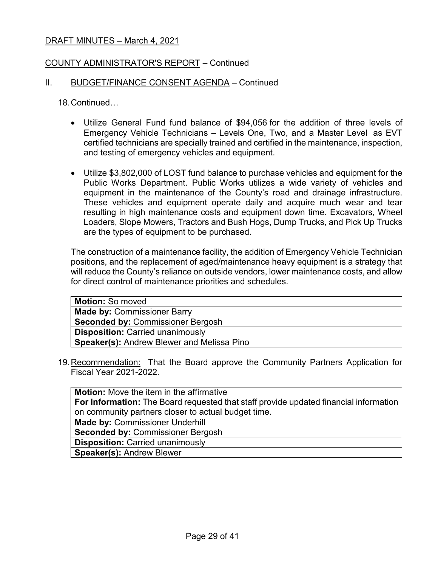### COUNTY ADMINISTRATOR'S REPORT – Continued

#### II. BUDGET/FINANCE CONSENT AGENDA – Continued

18.Continued…

- Utilize General Fund fund balance of \$94,056 for the addition of three levels of Emergency Vehicle Technicians – Levels One, Two, and a Master Level as EVT certified technicians are specially trained and certified in the maintenance, inspection, and testing of emergency vehicles and equipment.
- Utilize \$3,802,000 of LOST fund balance to purchase vehicles and equipment for the Public Works Department. Public Works utilizes a wide variety of vehicles and equipment in the maintenance of the County's road and drainage infrastructure. These vehicles and equipment operate daily and acquire much wear and tear resulting in high maintenance costs and equipment down time. Excavators, Wheel Loaders, Slope Mowers, Tractors and Bush Hogs, Dump Trucks, and Pick Up Trucks are the types of equipment to be purchased.

The construction of a maintenance facility, the addition of Emergency Vehicle Technician positions, and the replacement of aged/maintenance heavy equipment is a strategy that will reduce the County's reliance on outside vendors, lower maintenance costs, and allow for direct control of maintenance priorities and schedules.

| <b>Motion: So moved</b>                           |
|---------------------------------------------------|
| <b>Made by: Commissioner Barry</b>                |
| <b>Seconded by: Commissioner Bergosh</b>          |
| <b>Disposition: Carried unanimously</b>           |
| <b>Speaker(s): Andrew Blewer and Melissa Pino</b> |
|                                                   |

19.Recommendation: That the Board approve the Community Partners Application for Fiscal Year 2021-2022.

| <b>Motion:</b> Move the item in the affirmative                                              |
|----------------------------------------------------------------------------------------------|
| <b>For Information:</b> The Board requested that staff provide updated financial information |
| on community partners closer to actual budget time.                                          |
| <b>Made by: Commissioner Underhill</b>                                                       |
| <b>Seconded by: Commissioner Bergosh</b>                                                     |
| <b>Disposition: Carried unanimously</b>                                                      |
| <b>Speaker(s): Andrew Blewer</b>                                                             |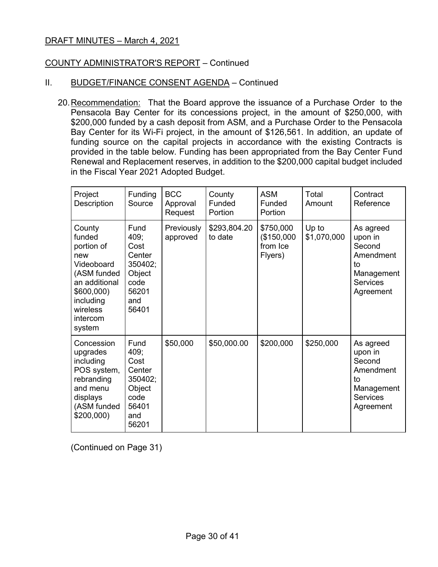### COUNTY ADMINISTRATOR'S REPORT – Continued

### II. BUDGET/FINANCE CONSENT AGENDA - Continued

20.Recommendation: That the Board approve the issuance of a Purchase Order to the Pensacola Bay Center for its concessions project, in the amount of \$250,000, with \$200,000 funded by a cash deposit from ASM, and a Purchase Order to the Pensacola Bay Center for its Wi-Fi project, in the amount of \$126,561. In addition, an update of funding source on the capital projects in accordance with the existing Contracts is provided in the table below. Funding has been appropriated from the Bay Center Fund Renewal and Replacement reserves, in addition to the \$200,000 capital budget included in the Fiscal Year 2021 Adopted Budget.

| Project<br>Description                                                                                                                           | Funding<br>Source                                                                    | <b>BCC</b><br>Approval<br>Request | County<br>Funded<br>Portion | <b>ASM</b><br>Funded<br>Portion                | Total<br>Amount      | Contract<br>Reference                                                                           |
|--------------------------------------------------------------------------------------------------------------------------------------------------|--------------------------------------------------------------------------------------|-----------------------------------|-----------------------------|------------------------------------------------|----------------------|-------------------------------------------------------------------------------------------------|
| County<br>funded<br>portion of<br>new<br>Videoboard<br>(ASM funded<br>an additional<br>\$600,000)<br>including<br>wireless<br>intercom<br>system | Fund<br>409;<br>Cost<br>Center<br>350402;<br>Object<br>code<br>56201<br>and<br>56401 | Previously<br>approved            | \$293,804.20<br>to date     | \$750,000<br>(\$150,000<br>from Ice<br>Flyers) | Up to<br>\$1,070,000 | As agreed<br>upon in<br>Second<br>Amendment<br>to<br>Management<br><b>Services</b><br>Agreement |
| Concession<br>upgrades<br>including<br>POS system,<br>rebranding<br>and menu<br>displays<br>(ASM funded<br>\$200,000                             | Fund<br>409;<br>Cost<br>Center<br>350402;<br>Object<br>code<br>56401<br>and<br>56201 | \$50,000                          | \$50,000.00                 | \$200,000                                      | \$250,000            | As agreed<br>upon in<br>Second<br>Amendment<br>to<br>Management<br><b>Services</b><br>Agreement |

(Continued on Page 31)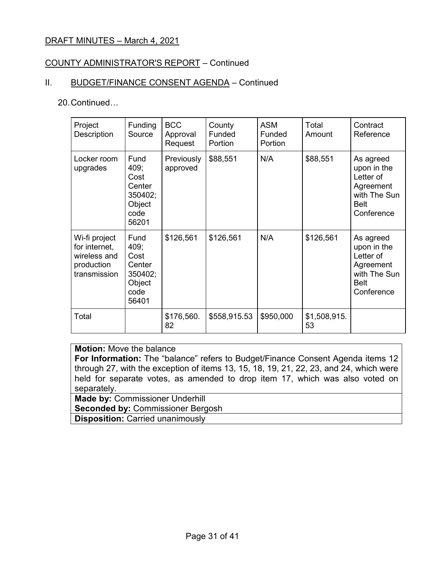### COUNTY ADMINISTRATOR'S REPORT – Continued

## II. BUDGET/FINANCE CONSENT AGENDA - Continued

#### 20.Continued…

| Project<br>Description                                                       | <b>Funding</b><br>Source                                             | <b>BCC</b><br>Approval<br>Request | County<br>Funded<br>Portion | <b>ASM</b><br>Funded<br>Portion | Total<br>Amount    | Contract<br>Reference                                                                           |
|------------------------------------------------------------------------------|----------------------------------------------------------------------|-----------------------------------|-----------------------------|---------------------------------|--------------------|-------------------------------------------------------------------------------------------------|
| Locker room<br>upgrades                                                      | Fund<br>409;<br>Cost<br>Center<br>350402;<br>Object<br>code<br>56201 | Previously<br>approved            | \$88,551                    | N/A                             | \$88,551           | As agreed<br>upon in the<br>Letter of<br>Agreement<br>with The Sun<br>Belt<br>Conference        |
| Wi-fi project<br>for internet,<br>wireless and<br>production<br>transmission | Fund<br>409;<br>Cost<br>Center<br>350402;<br>Object<br>code<br>56401 | \$126,561                         | \$126,561                   | N/A                             | \$126,561          | As agreed<br>upon in the<br>Letter of<br>Agreement<br>with The Sun<br><b>Belt</b><br>Conference |
| Total                                                                        |                                                                      | \$176,560.<br>82                  | \$558,915.53                | \$950,000                       | \$1,508,915.<br>53 |                                                                                                 |

## **Motion:** Move the balance

**For Information:** The "balance" refers to Budget/Finance Consent Agenda items 12 through 27, with the exception of items 13, 15, 18, 19, 21, 22, 23, and 24, which were held for separate votes, as amended to drop item 17, which was also voted on separately.

**Made by:** Commissioner Underhill **Seconded by:** Commissioner Bergosh **Disposition:** Carried unanimously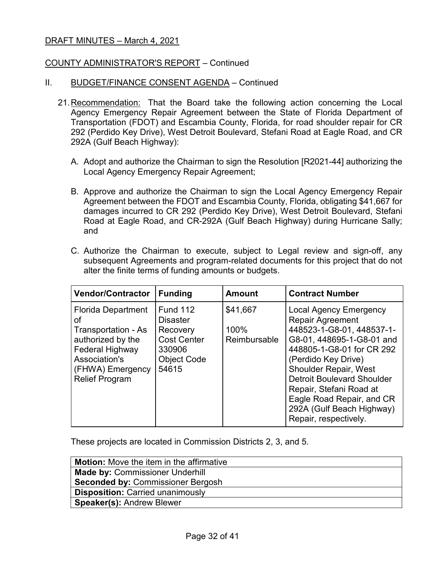### COUNTY ADMINISTRATOR'S REPORT – Continued

#### II. BUDGET/FINANCE CONSENT AGENDA – Continued

- 21.Recommendation: That the Board take the following action concerning the Local Agency Emergency Repair Agreement between the State of Florida Department of Transportation (FDOT) and Escambia County, Florida, for road shoulder repair for CR 292 (Perdido Key Drive), West Detroit Boulevard, Stefani Road at Eagle Road, and CR 292A (Gulf Beach Highway):
	- A. Adopt and authorize the Chairman to sign the Resolution [R2021-44] authorizing the Local Agency Emergency Repair Agreement;
	- B. Approve and authorize the Chairman to sign the Local Agency Emergency Repair Agreement between the FDOT and Escambia County, Florida, obligating \$41,667 for damages incurred to CR 292 (Perdido Key Drive), West Detroit Boulevard, Stefani Road at Eagle Road, and CR-292A (Gulf Beach Highway) during Hurricane Sally; and
	- C. Authorize the Chairman to execute, subject to Legal review and sign-off, any subsequent Agreements and program-related documents for this project that do not alter the finite terms of funding amounts or budgets.

| <b>Vendor/Contractor</b>                                                                                                                                     | <b>Funding</b>                                                                                                | <b>Amount</b>                    | <b>Contract Number</b>                                                                                                                                                                                                                                                                                                                                    |
|--------------------------------------------------------------------------------------------------------------------------------------------------------------|---------------------------------------------------------------------------------------------------------------|----------------------------------|-----------------------------------------------------------------------------------------------------------------------------------------------------------------------------------------------------------------------------------------------------------------------------------------------------------------------------------------------------------|
| <b>Florida Department</b><br>οf<br>Transportation - As<br>authorized by the<br>Federal Highway<br>Association's<br>(FHWA) Emergency<br><b>Relief Program</b> | <b>Fund 112</b><br><b>Disaster</b><br>Recovery<br><b>Cost Center</b><br>330906<br><b>Object Code</b><br>54615 | \$41,667<br>100%<br>Reimbursable | <b>Local Agency Emergency</b><br><b>Repair Agreement</b><br>448523-1-G8-01, 448537-1-<br>G8-01, 448695-1-G8-01 and<br>448805-1-G8-01 for CR 292<br>(Perdido Key Drive)<br><b>Shoulder Repair, West</b><br><b>Detroit Boulevard Shoulder</b><br>Repair, Stefani Road at<br>Eagle Road Repair, and CR<br>292A (Gulf Beach Highway)<br>Repair, respectively. |

These projects are located in Commission Districts 2, 3, and 5.

| <b>Motion:</b> Move the item in the affirmative |
|-------------------------------------------------|
| <b>Made by: Commissioner Underhill</b>          |
| <b>Seconded by: Commissioner Bergosh</b>        |
| <b>Disposition: Carried unanimously</b>         |
| <b>Speaker(s): Andrew Blewer</b>                |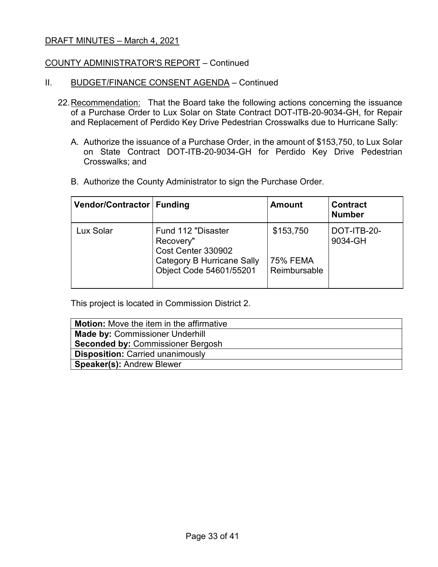### COUNTY ADMINISTRATOR'S REPORT – Continued

#### II. BUDGET/FINANCE CONSENT AGENDA - Continued

- 22.Recommendation: That the Board take the following actions concerning the issuance of a Purchase Order to Lux Solar on State Contract DOT-ITB-20-9034-GH, for Repair and Replacement of Perdido Key Drive Pedestrian Crosswalks due to Hurricane Sally:
	- A. Authorize the issuance of a Purchase Order, in the amount of \$153,750, to Lux Solar on State Contract DOT-ITB-20-9034-GH for Perdido Key Drive Pedestrian Crosswalks; and
	- B. Authorize the County Administrator to sign the Purchase Order.

| Vendor/Contractor   Funding |                                                                                                                       | <b>Amount</b>                                | <b>Contract</b><br><b>Number</b> |
|-----------------------------|-----------------------------------------------------------------------------------------------------------------------|----------------------------------------------|----------------------------------|
| Lux Solar                   | Fund 112 "Disaster<br>Recovery"<br>Cost Center 330902<br><b>Category B Hurricane Sally</b><br>Object Code 54601/55201 | \$153,750<br><b>75% FEMA</b><br>Reimbursable | DOT-ITB-20-<br>9034-GH           |

This project is located in Commission District 2.

| <b>Motion:</b> Move the item in the affirmative |
|-------------------------------------------------|
| <b>Made by: Commissioner Underhill</b>          |
| <b>Seconded by: Commissioner Bergosh</b>        |
| <b>Disposition: Carried unanimously</b>         |
| <b>Speaker(s): Andrew Blewer</b>                |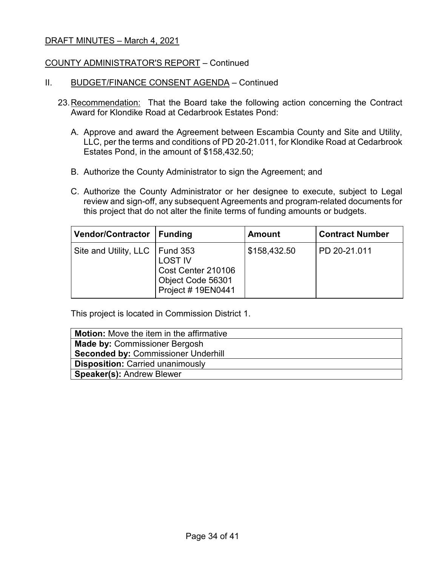### COUNTY ADMINISTRATOR'S REPORT – Continued

#### II. BUDGET/FINANCE CONSENT AGENDA - Continued

- 23.Recommendation: That the Board take the following action concerning the Contract Award for Klondike Road at Cedarbrook Estates Pond:
	- A. Approve and award the Agreement between Escambia County and Site and Utility, LLC, per the terms and conditions of PD 20-21.011, for Klondike Road at Cedarbrook Estates Pond, in the amount of \$158,432.50;
	- B. Authorize the County Administrator to sign the Agreement; and
	- C. Authorize the County Administrator or her designee to execute, subject to Legal review and sign-off, any subsequent Agreements and program-related documents for this project that do not alter the finite terms of funding amounts or budgets.

| Vendor/Contractor   Funding      |                                                                                 | <b>Amount</b> | <b>Contract Number</b> |
|----------------------------------|---------------------------------------------------------------------------------|---------------|------------------------|
| Site and Utility, LLC   Fund 353 | <b>LOST IV</b><br>Cost Center 210106<br>Object Code 56301<br>Project # 19EN0441 | \$158,432.50  | PD 20-21.011           |

This project is located in Commission District 1.

| <b>Motion:</b> Move the item in the affirmative |
|-------------------------------------------------|
| <b>Made by: Commissioner Bergosh</b>            |
| <b>Seconded by: Commissioner Underhill</b>      |
| <b>Disposition: Carried unanimously</b>         |
| <b>Speaker(s): Andrew Blewer</b>                |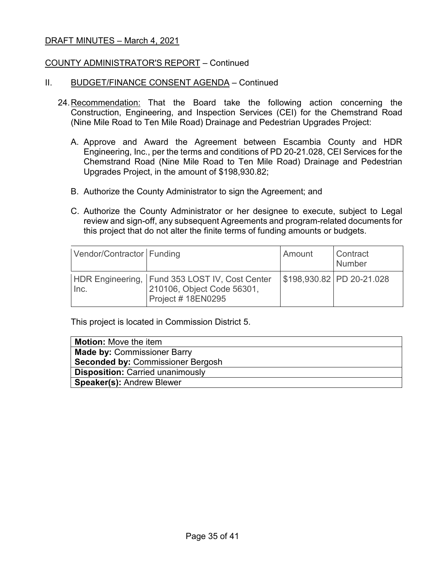### COUNTY ADMINISTRATOR'S REPORT – Continued

#### II. BUDGET/FINANCE CONSENT AGENDA – Continued

- 24.Recommendation: That the Board take the following action concerning the Construction, Engineering, and Inspection Services (CEI) for the Chemstrand Road (Nine Mile Road to Ten Mile Road) Drainage and Pedestrian Upgrades Project:
	- A. Approve and Award the Agreement between Escambia County and HDR Engineering, Inc., per the terms and conditions of PD 20-21.028, CEI Services for the Chemstrand Road (Nine Mile Road to Ten Mile Road) Drainage and Pedestrian Upgrades Project, in the amount of \$198,930.82;
	- B. Authorize the County Administrator to sign the Agreement; and
	- C. Authorize the County Administrator or her designee to execute, subject to Legal review and sign-off, any subsequent Agreements and program-related documents for this project that do not alter the finite terms of funding amounts or budgets.

| Vendor/Contractor   Funding |                                                                                                   | Amount | <b>Contract</b><br>Number |
|-----------------------------|---------------------------------------------------------------------------------------------------|--------|---------------------------|
| Inc.                        | HDR Engineering, Fund 353 LOST IV, Cost Center<br>210106, Object Code 56301,<br>Project #18EN0295 |        | \$198,930.82 PD 20-21.028 |

This project is located in Commission District 5.

| <b>Motion:</b> Move the item             |
|------------------------------------------|
| <b>Made by: Commissioner Barry</b>       |
| <b>Seconded by: Commissioner Bergosh</b> |
| <b>Disposition: Carried unanimously</b>  |
| <b>Speaker(s): Andrew Blewer</b>         |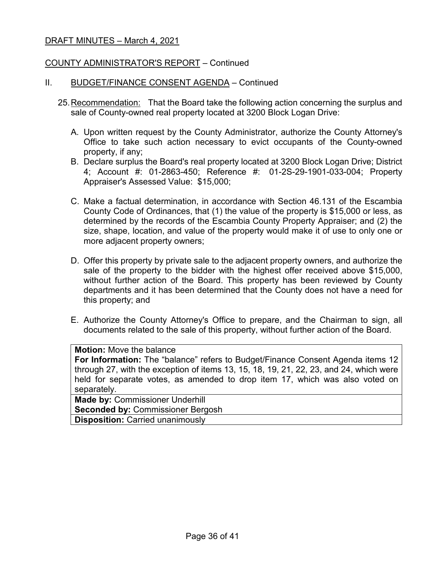### COUNTY ADMINISTRATOR'S REPORT – Continued

#### II. BUDGET/FINANCE CONSENT AGENDA – Continued

- 25.Recommendation: That the Board take the following action concerning the surplus and sale of County-owned real property located at 3200 Block Logan Drive:
	- A. Upon written request by the County Administrator, authorize the County Attorney's Office to take such action necessary to evict occupants of the County-owned property, if any;
	- B. Declare surplus the Board's real property located at 3200 Block Logan Drive; District 4; Account #: 01-2863-450; Reference #: 01-2S-29-1901-033-004; Property Appraiser's Assessed Value: \$15,000;
	- C. Make a factual determination, in accordance with Section 46.131 of the Escambia County Code of Ordinances, that (1) the value of the property is \$15,000 or less, as determined by the records of the Escambia County Property Appraiser; and (2) the size, shape, location, and value of the property would make it of use to only one or more adjacent property owners;
	- D. Offer this property by private sale to the adjacent property owners, and authorize the sale of the property to the bidder with the highest offer received above \$15,000, without further action of the Board. This property has been reviewed by County departments and it has been determined that the County does not have a need for this property; and
	- E. Authorize the County Attorney's Office to prepare, and the Chairman to sign, all documents related to the sale of this property, without further action of the Board.

#### **Motion:** Move the balance

**For Information:** The "balance" refers to Budget/Finance Consent Agenda items 12 through 27, with the exception of items 13, 15, 18, 19, 21, 22, 23, and 24, which were held for separate votes, as amended to drop item 17, which was also voted on separately.

**Made by:** Commissioner Underhill **Seconded by:** Commissioner Bergosh **Disposition:** Carried unanimously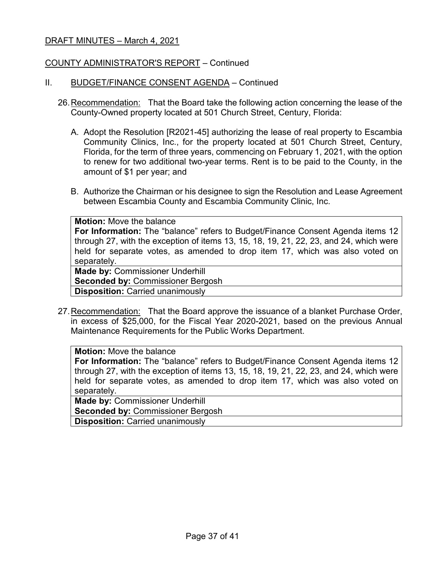### COUNTY ADMINISTRATOR'S REPORT – Continued

#### II. BUDGET/FINANCE CONSENT AGENDA – Continued

- 26.Recommendation: That the Board take the following action concerning the lease of the County-Owned property located at 501 Church Street, Century, Florida:
	- A. Adopt the Resolution [R2021-45] authorizing the lease of real property to Escambia Community Clinics, Inc., for the property located at 501 Church Street, Century, Florida, for the term of three years, commencing on February 1, 2021, with the option to renew for two additional two-year terms. Rent is to be paid to the County, in the amount of \$1 per year; and
	- B. Authorize the Chairman or his designee to sign the Resolution and Lease Agreement between Escambia County and Escambia Community Clinic, Inc.

| <b>Motion:</b> Move the balance                                                        |  |  |  |
|----------------------------------------------------------------------------------------|--|--|--|
| <b>For Information:</b> The "balance" refers to Budget/Finance Consent Agenda items 12 |  |  |  |
| through 27, with the exception of items 13, 15, 18, 19, 21, 22, 23, and 24, which were |  |  |  |
| held for separate votes, as amended to drop item 17, which was also voted on           |  |  |  |
| separately.                                                                            |  |  |  |
| <b>Made by: Commissioner Underhill</b>                                                 |  |  |  |
| <b>Seconded by: Commissioner Bergosh</b>                                               |  |  |  |
| <b>Disposition: Carried unanimously</b>                                                |  |  |  |

27.Recommendation: That the Board approve the issuance of a blanket Purchase Order, in excess of \$25,000, for the Fiscal Year 2020-2021, based on the previous Annual Maintenance Requirements for the Public Works Department.

### **Motion:** Move the balance

**For Information:** The "balance" refers to Budget/Finance Consent Agenda items 12 through 27, with the exception of items 13, 15, 18, 19, 21, 22, 23, and 24, which were held for separate votes, as amended to drop item 17, which was also voted on separately.

**Made by:** Commissioner Underhill

**Seconded by:** Commissioner Bergosh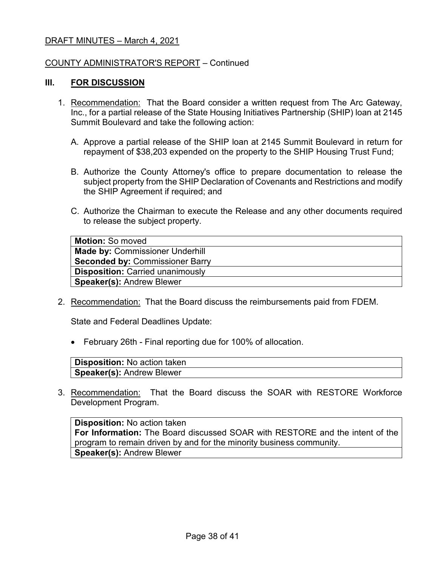### COUNTY ADMINISTRATOR'S REPORT – Continued

#### **III. FOR DISCUSSION**

- 1. Recommendation: That the Board consider a written request from The Arc Gateway, Inc., for a partial release of the State Housing Initiatives Partnership (SHIP) loan at 2145 Summit Boulevard and take the following action:
	- A. Approve a partial release of the SHIP loan at 2145 Summit Boulevard in return for repayment of \$38,203 expended on the property to the SHIP Housing Trust Fund;
	- B. Authorize the County Attorney's office to prepare documentation to release the subject property from the SHIP Declaration of Covenants and Restrictions and modify the SHIP Agreement if required; and
	- C. Authorize the Chairman to execute the Release and any other documents required to release the subject property.

| <b>Motion: So moved</b>                 |
|-----------------------------------------|
| <b>Made by: Commissioner Underhill</b>  |
| <b>Seconded by: Commissioner Barry</b>  |
| <b>Disposition: Carried unanimously</b> |
| <b>Speaker(s): Andrew Blewer</b>        |

2. Recommendation: That the Board discuss the reimbursements paid from FDEM.

State and Federal Deadlines Update:

• February 26th - Final reporting due for 100% of allocation.

| Disposition: No action taken     |  |
|----------------------------------|--|
| <b>Speaker(s):</b> Andrew Blewer |  |

3. Recommendation: That the Board discuss the SOAR with RESTORE Workforce Development Program.

**Disposition:** No action taken **For Information:** The Board discussed SOAR with RESTORE and the intent of the program to remain driven by and for the minority business community. **Speaker(s):** Andrew Blewer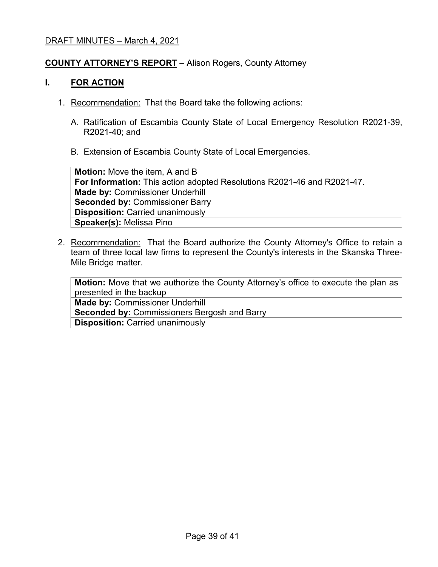### **COUNTY ATTORNEY'S REPORT** – Alison Rogers, County Attorney

### **I. FOR ACTION**

- 1. Recommendation: That the Board take the following actions:
	- A. Ratification of Escambia County State of Local Emergency Resolution R2021-39, R2021-40; and
	- B. Extension of Escambia County State of Local Emergencies.

**Motion:** Move the item, A and B **For Information:** This action adopted Resolutions R2021-46 and R2021-47. **Made by:** Commissioner Underhill **Seconded by:** Commissioner Barry **Disposition:** Carried unanimously **Speaker(s):** Melissa Pino

2. Recommendation: That the Board authorize the County Attorney's Office to retain a team of three local law firms to represent the County's interests in the Skanska Three-Mile Bridge matter.

**Motion:** Move that we authorize the County Attorney's office to execute the plan as presented in the backup

**Made by:** Commissioner Underhill

**Seconded by:** Commissioners Bergosh and Barry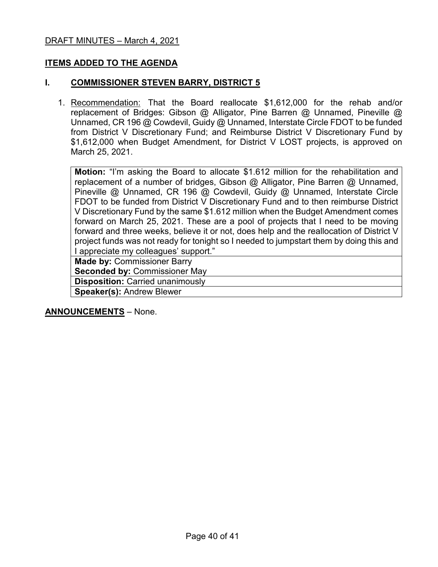## **ITEMS ADDED TO THE AGENDA**

### **I. COMMISSIONER STEVEN BARRY, DISTRICT 5**

1. Recommendation: That the Board reallocate \$1,612,000 for the rehab and/or replacement of Bridges: Gibson @ Alligator, Pine Barren @ Unnamed, Pineville @ Unnamed, CR 196 @ Cowdevil, Guidy @ Unnamed, Interstate Circle FDOT to be funded from District V Discretionary Fund; and Reimburse District V Discretionary Fund by \$1,612,000 when Budget Amendment, for District V LOST projects, is approved on March 25, 2021.

**Motion:** "I'm asking the Board to allocate \$1.612 million for the rehabilitation and replacement of a number of bridges, Gibson @ Alligator, Pine Barren @ Unnamed, Pineville @ Unnamed, CR 196 @ Cowdevil, Guidy @ Unnamed, Interstate Circle FDOT to be funded from District V Discretionary Fund and to then reimburse District V Discretionary Fund by the same \$1.612 million when the Budget Amendment comes forward on March 25, 2021. These are a pool of projects that I need to be moving forward and three weeks, believe it or not, does help and the reallocation of District V project funds was not ready for tonight so I needed to jumpstart them by doing this and I appreciate my colleagues' support."

**Made by:** Commissioner Barry **Seconded by:** Commissioner May **Disposition:** Carried unanimously **Speaker(s):** Andrew Blewer

**ANNOUNCEMENTS** – None.